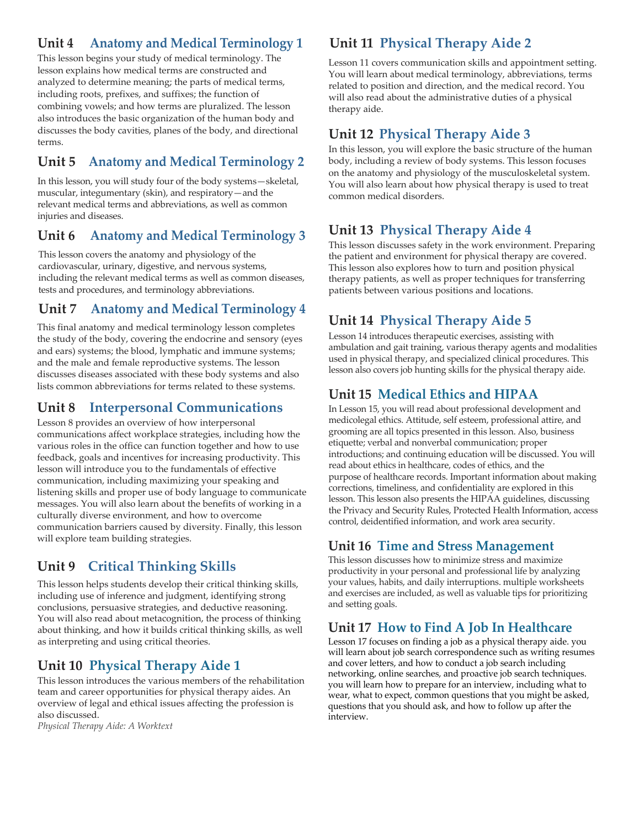## **Unit 4 Dental Office Management 2**

In Lesson 4, records and information management are explored. You will learn about the components of the clinical record and collecting information from patients. You will read about the filing methods commonly used in a dental practice, as well as the equipment and supplies needed. The mechanics of scheduling are explained. You will also learn about the methods for recalling patients.

# **Unit 5 English Usage and Written Communication**

In this lesson, you will gain knowledge about the English language and written communication. This information is important to the successful allied health professional. Begin with parts of speech, then review parts of a sentence, pronouns, verbs and agreement, and finally, sentence types and punctuation. This lesson is a great grammar tutorial. You will also learn about writing in active versus passive voice, paragraph formation, and topic sentences; and you gain some valuable tips for business communication.

## **Unit 6 Time and Stress Management**

This lesson discusses how to minimize stress and maximize productivity in your personal and professional life by analyzing your values, habits, and daily interruptions. Multiple worksheets and exercises are included, as well as valuable tips for prioritizing and setting goals.

## **Unit 7 Dental Office Management 3**

Lesson 7 introduces insurance processing, inventory management, and financial records. You will learn the types of dental insurance and methods of filing insurance claims. You will become familiar with the ADA Dental Claim Form and how to complete one. This lesson also explains the types of supplies, products, and equipment used in a dental office and how to set up an inventory management system. You will also learn about designing a financial policy and managing accounts receivable and accounts payable.

## **Unit 8 Dental Office Management 4**

Lesson 8 goes over office equipment found in a dental practice. You will read about how to organize a business office and safety concerns. Dental practice management software is discussed along with criteria for selecting a software package. This lesson also covers employment strategies and career opportunities for administrative dental assistants.

## **Unit 9 Professional Development and Medicolegal Ethics**

In Lesson 9, you will read about professional development and medicolegal ethics. Attitude, self-esteem, professional attire, and grooming are all topics presented in this lesson. Also, business etiquette; verbal and nonverbal communication; proper introductions; and continuing education will be discussed. You will read about ethics in healthcare, codes of ethics, and the purpose of healthcare records. Important information about making corrections, timeliness, and confidentiality is explored in this lesson. This lesson also presents the HIPAA guidelines, discussing the Privacy and Security Rules, Protected Health information, access control, de-identified information, and work area security.

# **Unit 10 Critical Thinking Skills**

This lesson helps students develop their critical thinking skills, including use of inference and judgment, identifying strong conclusions, persuasive strategies, and deductive reasoning. You will also read about metacognition, the process of thinking about thinking, and how it builds critical thinking skills, as well as interpreting and using critical theories.

## **Unit 7 Dental Office Practice 1**

In Lesson 11, you will gain hands-on training in dental office procedures, including use of the office Procedure Manual, staff meetings, handling voice mail, proper telephone etiquette, and completing the Day Sheet. This lesson also explores handling emergency patients via an office script and effective scheduling, as well as discusses the importance of the recall system and handling incoming mail.

## **Unit 12 Dental Office Practice 2**

Lesson 12 is a continuation of your study of dental office procedures. You will utilize the virtual office environment to improve your mastery of dental office procedures, including message-taking, managing the schedule and patient records, and handling payments from patients and insurance carriers.

## **Unit 13 Dental Office Practice 3**

Lesson 13 concludes your study of dental office procedures. You will learn about the most tactful and professional way to handle angry patients and unexpected patients, the general procedure for processing invoices, as well as procedures for filing records and recording patient medications. You will also have to close the office for the weekend. You will finish this lesson by testing your knowledge of tasks performed by the administrative dental assistant.

# **Unit 14 Creating an Effective Workplace Environment**

Lesson 14 introduces therapeutic exercises, assisting with ambulation and gait training, various therapy agents and modalities used in physical therapy, and specialized clinical procedures. This lesson also covers job hunting skills for the physical therapy aide.

## **Unit 15 Management Practices and Principles**

In this lesson, you will read about the role of a supervisor as both a manager and leader. You will read about creating an effective workplace environment through communication, a positive work climate, team building, and conflict management. You will also learn about the roles a manager plays in delegation, developing ob expectations, employee recruitment and selection, training, performance evaluation, and discipline.

## **Unit 16 How to Find A Job In Healthcare**

This lesson discusses how to get ready for your ob search You'll learn how to write an effective resum and cover letter You'll learn about the different styles of resum s and the type of language used on resum s This chapter also discusses ob interviews in detail You'll learn how to dress for success on an interview and how to prepare answers to commonly asked uestions